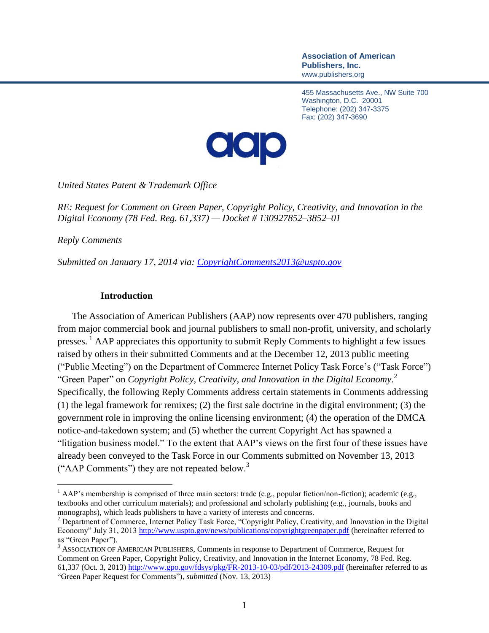**Association of American Publishers, Inc.** www.publishers.org

455 Massachusetts Ave., NW Suite 700 Washington, D.C. 20001 Telephone: (202) 347-3375 Fax: (202) 347-3690



*United States Patent & Trademark Office*

*RE: Request for Comment on Green Paper, Copyright Policy, Creativity, and Innovation in the Digital Economy (78 Fed. Reg. 61,337) — Docket # 130927852–3852–01*

*Reply Comments*

 $\overline{a}$ 

*Submitted on January 17, 2014 via: [CopyrightComments2013@uspto.gov](mailto:CopyrightComments2013@uspto.gov)*

#### **Introduction**

The Association of American Publishers (AAP) now represents over 470 publishers, ranging from major commercial book and journal publishers to small non-profit, university, and scholarly presses.<sup>1</sup> AAP appreciates this opportunity to submit Reply Comments to highlight a few issues raised by others in their submitted Comments and at the December 12, 2013 public meeting ("Public Meeting") on the Department of Commerce Internet Policy Task Force's ("Task Force") "Green Paper" on *Copyright Policy, Creativity, and Innovation in the Digital Economy*. 2 Specifically, the following Reply Comments address certain statements in Comments addressing (1) the legal framework for remixes; (2) the first sale doctrine in the digital environment; (3) the government role in improving the online licensing environment; (4) the operation of the DMCA notice-and-takedown system; and (5) whether the current Copyright Act has spawned a "litigation business model." To the extent that AAP's views on the first four of these issues have already been conveyed to the Task Force in our Comments submitted on November 13, 2013 ("AAP Comments") they are not repeated below.<sup>3</sup>

<sup>&</sup>lt;sup>1</sup> AAP's membership is comprised of three main sectors: trade (e.g., popular fiction/non-fiction); academic (e.g., textbooks and other curriculum materials); and professional and scholarly publishing (e.g., journals, books and monographs), which leads publishers to have a variety of interests and concerns.

<sup>&</sup>lt;sup>2</sup> Department of Commerce, Internet Policy Task Force, "Copyright Policy, Creativity, and Innovation in the Digital Economy" July 31, 2013<http://www.uspto.gov/news/publications/copyrightgreenpaper.pdf> (hereinafter referred to as "Green Paper").

<sup>&</sup>lt;sup>3</sup> ASSOCIATION OF AMERICAN PUBLISHERS, Comments in response to Department of Commerce, Request for Comment on Green Paper, Copyright Policy, Creativity, and Innovation in the Internet Economy, 78 Fed. Reg. 61,337 (Oct. 3, 2013[\) http://www.gpo.gov/fdsys/pkg/FR-2013-10-03/pdf/2013-24309.pdf](http://www.gpo.gov/fdsys/pkg/FR-2013-10-03/pdf/2013-24309.pdf) (hereinafter referred to as "Green Paper Request for Comments"), *submitted* (Nov. 13, 2013)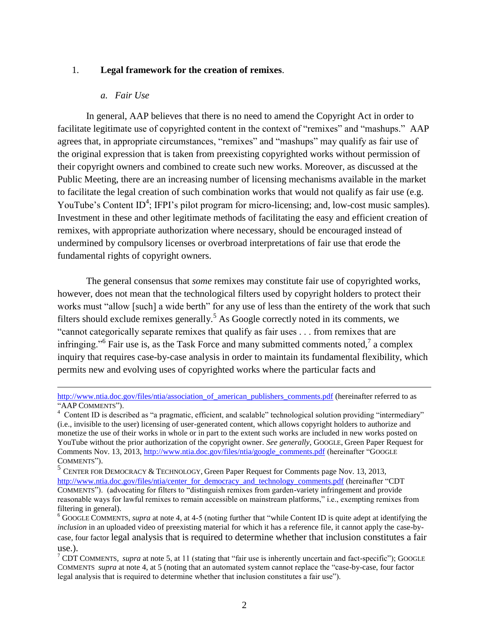#### 1. **Legal framework for the creation of remixes**.

#### *a. Fair Use*

 $\overline{a}$ 

In general, AAP believes that there is no need to amend the Copyright Act in order to facilitate legitimate use of copyrighted content in the context of "remixes" and "mashups." AAP agrees that, in appropriate circumstances, "remixes" and "mashups" may qualify as fair use of the original expression that is taken from preexisting copyrighted works without permission of their copyright owners and combined to create such new works. Moreover, as discussed at the Public Meeting, there are an increasing number of licensing mechanisms available in the market to facilitate the legal creation of such combination works that would not qualify as fair use (e.g. YouTube's Content ID<sup>4</sup>; IFPI's pilot program for micro-licensing; and, low-cost music samples). Investment in these and other legitimate methods of facilitating the easy and efficient creation of remixes, with appropriate authorization where necessary, should be encouraged instead of undermined by compulsory licenses or overbroad interpretations of fair use that erode the fundamental rights of copyright owners.

The general consensus that *some* remixes may constitute fair use of copyrighted works, however, does not mean that the technological filters used by copyright holders to protect their works must "allow [such] a wide berth" for any use of less than the entirety of the work that such filters should exclude remixes generally.<sup>5</sup> As Google correctly noted in its comments, we "cannot categorically separate remixes that qualify as fair uses . . . from remixes that are infringing."<sup>6</sup> Fair use is, as the Task Force and many submitted comments noted,<sup>7</sup> a complex inquiry that requires case-by-case analysis in order to maintain its fundamental flexibility, which permits new and evolving uses of copyrighted works where the particular facts and

[http://www.ntia.doc.gov/files/ntia/association\\_of\\_american\\_publishers\\_comments.pdf](http://www.ntia.doc.gov/files/ntia/association_of_american_publishers_comments.pdf) (hereinafter referred to as "AAP COMMENTS").

<sup>&</sup>lt;sup>4</sup> Content ID is described as "a pragmatic, efficient, and scalable" technological solution providing "intermediary" (i.e., invisible to the user) licensing of user-generated content, which allows copyright holders to authorize and monetize the use of their works in whole or in part to the extent such works are included in new works posted on YouTube without the prior authorization of the copyright owner. *See generally*, GOOGLE, Green Paper Request for Comments Nov. 13, 2013, [http://www.ntia.doc.gov/files/ntia/google\\_comments.pdf](http://www.ntia.doc.gov/files/ntia/google_comments.pdf) (hereinafter "GOOGLE COMMENTS").

<sup>&</sup>lt;sup>5</sup> CENTER FOR DEMOCRACY & TECHNOLOGY, Green Paper Request for Comments page Nov. 13, 2013, [http://www.ntia.doc.gov/files/ntia/center\\_for\\_democracy\\_and\\_technology\\_comments.pdf](http://www.ntia.doc.gov/files/ntia/center_for_democracy_and_technology_comments.pdf) (hereinafter "CDT COMMENTS"). (advocating for filters to "distinguish remixes from garden-variety infringement and provide reasonable ways for lawful remixes to remain accessible on mainstream platforms," i.e., exempting remixes from filtering in general).

<sup>6</sup> GOOGLE COMMENTS, *supra* at note 4, at 4-5 (noting further that "while Content ID is quite adept at identifying the *inclusion* in an uploaded video of preexisting material for which it has a reference file, it cannot apply the case-bycase, four factor legal analysis that is required to determine whether that inclusion constitutes a fair use.).

 $7$  CDT COMMENTS, *supra* at note 5, at 11 (stating that "fair use is inherently uncertain and fact-specific"); GOOGLE COMMENTS *supra* at note 4, at 5 (noting that an automated system cannot replace the "case-by-case, four factor legal analysis that is required to determine whether that inclusion constitutes a fair use").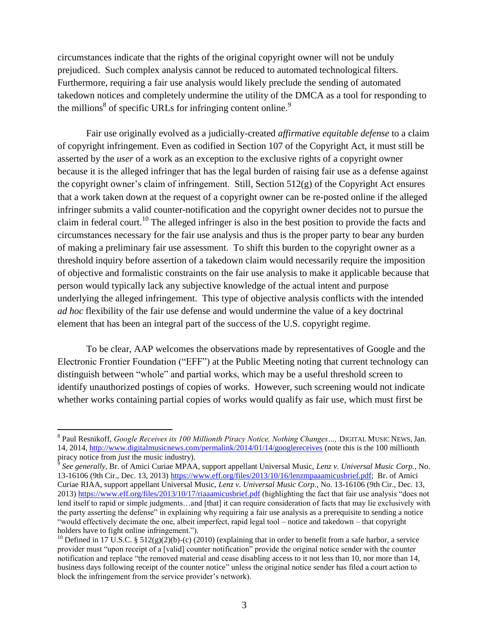circumstances indicate that the rights of the original copyright owner will not be unduly prejudiced. Such complex analysis cannot be reduced to automated technological filters. Furthermore, requiring a fair use analysis would likely preclude the sending of automated takedown notices and completely undermine the utility of the DMCA as a tool for responding to the millions<sup>8</sup> of specific URLs for infringing content online.<sup>9</sup>

Fair use originally evolved as a judicially-created *affirmative equitable defense* to a claim of copyright infringement. Even as codified in Section 107 of the Copyright Act, it must still be asserted by the *user* of a work as an exception to the exclusive rights of a copyright owner because it is the alleged infringer that has the legal burden of raising fair use as a defense against the copyright owner's claim of infringement. Still, Section 512(g) of the Copyright Act ensures that a work taken down at the request of a copyright owner can be re-posted online if the alleged infringer submits a valid counter-notification and the copyright owner decides not to pursue the claim in federal court.<sup>10</sup> The alleged infringer is also in the best position to provide the facts and circumstances necessary for the fair use analysis and thus is the proper party to bear any burden of making a preliminary fair use assessment. To shift this burden to the copyright owner as a threshold inquiry before assertion of a takedown claim would necessarily require the imposition of objective and formalistic constraints on the fair use analysis to make it applicable because that person would typically lack any subjective knowledge of the actual intent and purpose underlying the alleged infringement. This type of objective analysis conflicts with the intended *ad hoc* flexibility of the fair use defense and would undermine the value of a key doctrinal element that has been an integral part of the success of the U.S. copyright regime.

To be clear, AAP welcomes the observations made by representatives of Google and the Electronic Frontier Foundation ("EFF") at the Public Meeting noting that current technology can distinguish between "whole" and partial works, which may be a useful threshold screen to identify unauthorized postings of copies of works. However, such screening would not indicate whether works containing partial copies of works would qualify as fair use, which must first be

<sup>8</sup> Paul Resnikoff, *Google Receives its 100 Millionth Piracy Notice, Nothing Changes…,* DIGITAL MUSIC NEWS, Jan. 14, 2014,<http://www.digitalmusicnews.com/permalink/2014/01/14/googlereceives> (note this is the 100 millionth piracy notice from *just* the music industry).

<sup>9</sup> *See generally*, Br. of Amici Curiae MPAA, support appellant Universal Music, *Lenz v. Universal Music Corp.*, No. 13-16106 (9th Cir., Dec. 13, 2013[\) https://www.eff.org/files/2013/10/16/lenzmpaaamicusbrief.pdf;](https://www.eff.org/files/2013/10/16/lenzmpaaamicusbrief.pdf) Br. of Amici Curiae RIAA, support appellant Universal Music, *Lenz v. Universal Music Corp.*, No. 13-16106 (9th Cir., Dec. 13, 2013)<https://www.eff.org/files/2013/10/17/riaaamicusbrief.pdf> (highlighting the fact that fair use analysis "does not lend itself to rapid or simple judgments...and [that] it can require consideration of facts that may lie exclusively with the party asserting the defense" in explaining why requiring a fair use analysis as a prerequisite to sending a notice "would effectively decimate the one, albeit imperfect, rapid legal tool – notice and takedown – that copyright holders have to fight online infringement.").

<sup>&</sup>lt;sup>10</sup> Defined in 17 U.S.C. § 512(g)(2)(b)-(c) (2010) (explaining that in order to benefit from a safe harbor, a service provider must "upon receipt of a [valid] counter notification" provide the original notice sender with the counter notification and replace "the removed material and cease disabling access to it not less than 10, nor more than 14, business days following receipt of the counter notice" unless the original notice sender has filed a court action to block the infringement from the service provider's network).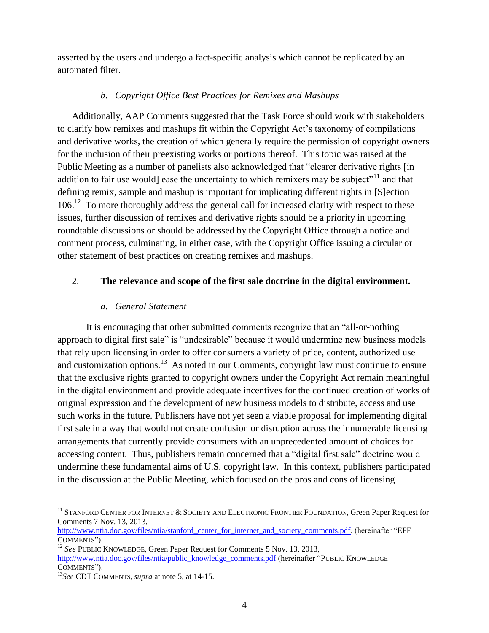asserted by the users and undergo a fact-specific analysis which cannot be replicated by an automated filter.

## *b. Copyright Office Best Practices for Remixes and Mashups*

Additionally, AAP Comments suggested that the Task Force should work with stakeholders to clarify how remixes and mashups fit within the Copyright Act's taxonomy of compilations and derivative works, the creation of which generally require the permission of copyright owners for the inclusion of their preexisting works or portions thereof. This topic was raised at the Public Meeting as a number of panelists also acknowledged that "clearer derivative rights [in addition to fair use would] ease the uncertainty to which remixers may be subject"<sup>11</sup> and that defining remix, sample and mashup is important for implicating different rights in [S]ection 106.<sup>12</sup> To more thoroughly address the general call for increased clarity with respect to these issues, further discussion of remixes and derivative rights should be a priority in upcoming roundtable discussions or should be addressed by the Copyright Office through a notice and comment process, culminating, in either case, with the Copyright Office issuing a circular or other statement of best practices on creating remixes and mashups.

# 2. **The relevance and scope of the first sale doctrine in the digital environment.**

## *a. General Statement*

It is encouraging that other submitted comments recognize that an "all-or-nothing approach to digital first sale" is "undesirable" because it would undermine new business models that rely upon licensing in order to offer consumers a variety of price, content, authorized use and customization options.<sup>13</sup> As noted in our Comments, copyright law must continue to ensure that the exclusive rights granted to copyright owners under the Copyright Act remain meaningful in the digital environment and provide adequate incentives for the continued creation of works of original expression and the development of new business models to distribute, access and use such works in the future. Publishers have not yet seen a viable proposal for implementing digital first sale in a way that would not create confusion or disruption across the innumerable licensing arrangements that currently provide consumers with an unprecedented amount of choices for accessing content. Thus, publishers remain concerned that a "digital first sale" doctrine would undermine these fundamental aims of U.S. copyright law. In this context, publishers participated in the discussion at the Public Meeting, which focused on the pros and cons of licensing

 $^{11}$  STANFORD CENTER FOR INTERNET  $\&$  SOCIETY AND ELECTRONIC FRONTIER FOUNDATION, Green Paper Request for Comments 7 Nov. 13, 2013,

[http://www.ntia.doc.gov/files/ntia/stanford\\_center\\_for\\_internet\\_and\\_society\\_comments.pdf.](http://www.ntia.doc.gov/files/ntia/stanford_center_for_internet_and_society_comments.pdf) (hereinafter "EFF COMMENTS").

<sup>&</sup>lt;sup>12</sup> *See* PUBLIC KNOWLEDGE, Green Paper Request for Comments 5 Nov. 13, 2013, [http://www.ntia.doc.gov/files/ntia/public\\_knowledge\\_comments.pdf](http://www.ntia.doc.gov/files/ntia/public_knowledge_comments.pdf) (hereinafter "PUBLIC KNOWLEDGE COMMENTS").

<sup>13</sup>*See* CDT COMMENTS, *supra* at note 5, at 14-15.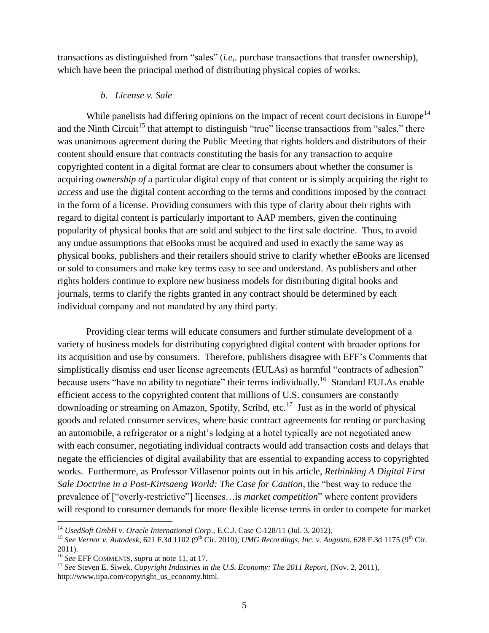transactions as distinguished from "sales" (*i.e,.* purchase transactions that transfer ownership), which have been the principal method of distributing physical copies of works.

#### *b. License v. Sale*

While panelists had differing opinions on the impact of recent court decisions in Europe<sup>14</sup> and the Ninth Circuit<sup>15</sup> that attempt to distinguish "true" license transactions from "sales," there was unanimous agreement during the Public Meeting that rights holders and distributors of their content should ensure that contracts constituting the basis for any transaction to acquire copyrighted content in a digital format are clear to consumers about whether the consumer is acquiring *ownership of* a particular digital copy of that content or is simply acquiring the right to *access* and use the digital content according to the terms and conditions imposed by the contract in the form of a license. Providing consumers with this type of clarity about their rights with regard to digital content is particularly important to AAP members, given the continuing popularity of physical books that are sold and subject to the first sale doctrine. Thus, to avoid any undue assumptions that eBooks must be acquired and used in exactly the same way as physical books, publishers and their retailers should strive to clarify whether eBooks are licensed or sold to consumers and make key terms easy to see and understand. As publishers and other rights holders continue to explore new business models for distributing digital books and journals, terms to clarify the rights granted in any contract should be determined by each individual company and not mandated by any third party.

Providing clear terms will educate consumers and further stimulate development of a variety of business models for distributing copyrighted digital content with broader options for its acquisition and use by consumers. Therefore, publishers disagree with EFF's Comments that simplistically dismiss end user license agreements (EULAs) as harmful "contracts of adhesion" because users "have no ability to negotiate" their terms individually.<sup>16</sup> Standard EULAs enable efficient access to the copyrighted content that millions of U.S. consumers are constantly downloading or streaming on Amazon, Spotify, Scribd, etc.<sup>17</sup> Just as in the world of physical goods and related consumer services, where basic contract agreements for renting or purchasing an automobile, a refrigerator or a night's lodging at a hotel typically are not negotiated anew with each consumer, negotiating individual contracts would add transaction costs and delays that negate the efficiencies of digital availability that are essential to expanding access to copyrighted works. Furthermore, as Professor Villasenor points out in his article, *Rethinking A Digital First Sale Doctrine in a Post-Kirtsaeng World: The Case for Caution*, the "best way to reduce the prevalence of ["overly-restrictive"] licenses…is *market competition*" where content providers will respond to consumer demands for more flexible license terms in order to compete for market

<sup>14</sup> *UsedSoft GmbH v. Oracle International Corp*., E.C.J. Case C-128/11 (Jul. 3, 2012).

<sup>&</sup>lt;sup>15</sup> See Vernor v. Autodesk, 621 F.3d 1102 (9<sup>th</sup> Cir. 2010); *UMG Recordings, Inc. v. Augusto*, 628 F.3d 1175 (9<sup>th</sup> Cir. 2011).

<sup>16</sup> *See* EFF COMMENTS, *supra* at note 11, at 17.

<sup>17</sup> *See* Steven E. Siwek, *Copyright Industries in the U.S. Economy: The 2011 Report*, (Nov. 2, 2011), http://www.iipa.com/copyright\_us\_economy.html.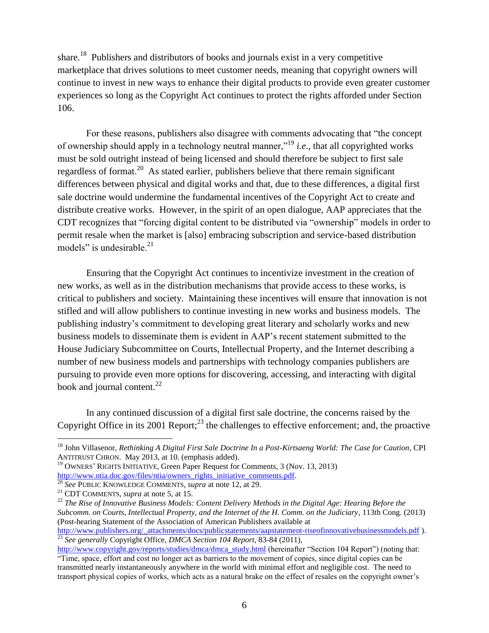share.<sup>18</sup> Publishers and distributors of books and journals exist in a very competitive marketplace that drives solutions to meet customer needs, meaning that copyright owners will continue to invest in new ways to enhance their digital products to provide even greater customer experiences so long as the Copyright Act continues to protect the rights afforded under Section 106.

For these reasons, publishers also disagree with comments advocating that "the concept of ownership should apply in a technology neutral manner,"<sup>19</sup> *i.e*., that all copyrighted works must be sold outright instead of being licensed and should therefore be subject to first sale regardless of format.<sup>20</sup> As stated earlier, publishers believe that there remain significant differences between physical and digital works and that, due to these differences, a digital first sale doctrine would undermine the fundamental incentives of the Copyright Act to create and distribute creative works. However, in the spirit of an open dialogue, AAP appreciates that the CDT recognizes that "forcing digital content to be distributed via "ownership" models in order to permit resale when the market is [also] embracing subscription and service-based distribution models" is undesirable. $21$ 

Ensuring that the Copyright Act continues to incentivize investment in the creation of new works, as well as in the distribution mechanisms that provide access to these works, is critical to publishers and society. Maintaining these incentives will ensure that innovation is not stifled and will allow publishers to continue investing in new works and business models. The publishing industry's commitment to developing great literary and scholarly works and new business models to disseminate them is evident in AAP's recent statement submitted to the House Judiciary Subcommittee on Courts, Intellectual Property, and the Internet describing a number of new business models and partnerships with technology companies publishers are pursuing to provide even more options for discovering, accessing, and interacting with digital book and journal content.<sup>22</sup>

In any continued discussion of a digital first sale doctrine, the concerns raised by the Copyright Office in its 2001 Report; $^{23}$  the challenges to effective enforcement; and, the proactive

<sup>&</sup>lt;sup>18</sup> John Villasenor, *Rethinking A Digital First Sale Doctrine In a Post-Kirtsaeng World: The Case for Caution*, CPI ANTITRUST CHRON. May 2013, at 10. (emphasis added).

<sup>&</sup>lt;sup>19</sup> OWNERS' RIGHTS INITIATIVE, Green Paper Request for Comments, 3 (Nov. 13, 2013) [http://www.ntia.doc.gov/files/ntia/owners\\_rights\\_initiative\\_comments.pdf.](http://www.ntia.doc.gov/files/ntia/owners_rights_initiative_comments.pdf)

<sup>20</sup> *See* PUBLIC KNOWLEDGE COMMENTS, *supra* at note 12, at 29.

<sup>21</sup> CDT COMMENTS, *supra* at note 5, at 15.

<sup>&</sup>lt;sup>22</sup> The Rise of Innovative Business Models: Content Delivery Methods in the Digital Age: Hearing Before the *Subcomm. on Courts, Intellectual Property, and the Internet of the H. Comm. on the Judiciary*, 113th Cong. (2013) (Post-hearing Statement of the Association of American Publishers available at

[http://www.publishers.org/\\_attachments/docs/publicstatements/aapstatement-riseofinnovativebusinessmodels.pdf](http://www.publishers.org/_attachments/docs/publicstatements/aapstatement-riseofinnovativebusinessmodels.pdf) ). <sup>23</sup> *See generally* Copyright Office, *DMCA Section 104 Report*, 83-84 (2011),

[http://www.copyright.gov/reports/studies/dmca/dmca\\_study.html](http://www.copyright.gov/reports/studies/dmca/dmca_study.html) (hereinafter "Section 104 Report") (noting that: "Time, space, effort and cost no longer act as barriers to the movement of copies, since digital copies can be transmitted nearly instantaneously anywhere in the world with minimal effort and negligible cost. The need to transport physical copies of works, which acts as a natural brake on the effect of resales on the copyright owner's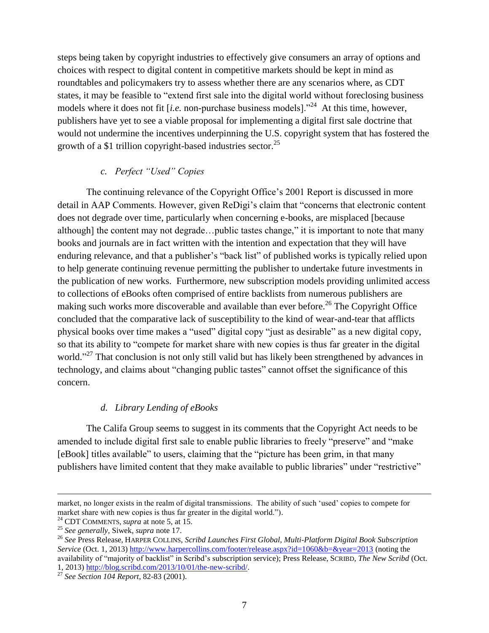steps being taken by copyright industries to effectively give consumers an array of options and choices with respect to digital content in competitive markets should be kept in mind as roundtables and policymakers try to assess whether there are any scenarios where, as CDT states, it may be feasible to "extend first sale into the digital world without foreclosing business models where it does not fit [*i.e.* non-purchase business models]."<sup>24</sup> At this time, however, publishers have yet to see a viable proposal for implementing a digital first sale doctrine that would not undermine the incentives underpinning the U.S. copyright system that has fostered the growth of a \$1 trillion copyright-based industries sector.<sup>25</sup>

## *c. Perfect "Used" Copies*

The continuing relevance of the Copyright Office's 2001 Report is discussed in more detail in AAP Comments. However, given ReDigi's claim that "concerns that electronic content does not degrade over time, particularly when concerning e-books, are misplaced [because although] the content may not degrade…public tastes change," it is important to note that many books and journals are in fact written with the intention and expectation that they will have enduring relevance, and that a publisher's "back list" of published works is typically relied upon to help generate continuing revenue permitting the publisher to undertake future investments in the publication of new works. Furthermore, new subscription models providing unlimited access to collections of eBooks often comprised of entire backlists from numerous publishers are making such works more discoverable and available than ever before.<sup>26</sup> The Copyright Office concluded that the comparative lack of susceptibility to the kind of wear-and-tear that afflicts physical books over time makes a "used" digital copy "just as desirable" as a new digital copy, so that its ability to "compete for market share with new copies is thus far greater in the digital world."<sup>27</sup> That conclusion is not only still valid but has likely been strengthened by advances in technology, and claims about "changing public tastes" cannot offset the significance of this concern.

## *d. Library Lending of eBooks*

The Califa Group seems to suggest in its comments that the Copyright Act needs to be amended to include digital first sale to enable public libraries to freely "preserve" and "make [eBook] titles available" to users, claiming that the "picture has been grim, in that many publishers have limited content that they make available to public libraries" under "restrictive"

market, no longer exists in the realm of digital transmissions. The ability of such 'used' copies to compete for market share with new copies is thus far greater in the digital world.").

<sup>24</sup> CDT COMMENTS, *supra* at note 5, at 15.

<sup>25</sup> *See generally,* Siwek, *supra* note 17.

<sup>26</sup> *See* Press Release, HARPER COLLINS, *Scribd Launches First Global, Multi-Platform Digital Book Subscription Service* (Oct. 1, 2013[\) http://www.harpercollins.com/footer/release.aspx?id=1060&b=&year=2013](http://www.harpercollins.com/footer/release.aspx?id=1060&b=&year=2013) (noting the availability of "majority of backlist" in Scribd's subscription service); Press Release, SCRIBD, *The New Scribd* (Oct. 1, 2013) [http://blog.scribd.com/2013/10/01/the-new-scribd/.](http://blog.scribd.com/2013/10/01/the-new-scribd/)

<sup>27</sup> *See Section 104 Report*, 82-83 (2001).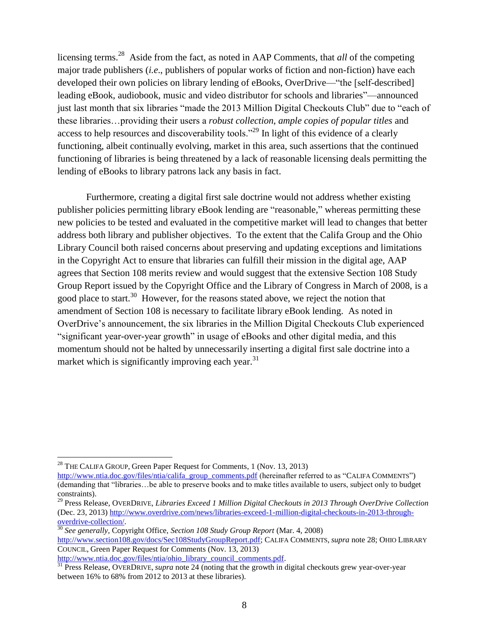licensing terms.<sup>28</sup> Aside from the fact, as noted in AAP Comments, that *all* of the competing major trade publishers (*i.e*., publishers of popular works of fiction and non-fiction) have each developed their own policies on library lending of eBooks, OverDrive—"the [self-described] leading eBook, audiobook, music and video distributor for schools and libraries"—announced just last month that six libraries "made the 2013 Million Digital Checkouts Club" due to "each of these libraries…providing their users a *robust collection*, *ample copies of popular titles* and access to help resources and discoverability tools."<sup>29</sup> In light of this evidence of a clearly functioning, albeit continually evolving, market in this area, such assertions that the continued functioning of libraries is being threatened by a lack of reasonable licensing deals permitting the lending of eBooks to library patrons lack any basis in fact.

Furthermore, creating a digital first sale doctrine would not address whether existing publisher policies permitting library eBook lending are "reasonable," whereas permitting these new policies to be tested and evaluated in the competitive market will lead to changes that better address both library and publisher objectives. To the extent that the Califa Group and the Ohio Library Council both raised concerns about preserving and updating exceptions and limitations in the Copyright Act to ensure that libraries can fulfill their mission in the digital age, AAP agrees that Section 108 merits review and would suggest that the extensive Section 108 Study Group Report issued by the Copyright Office and the Library of Congress in March of 2008, is a good place to start.<sup>30</sup> However, for the reasons stated above, we reject the notion that amendment of Section 108 is necessary to facilitate library eBook lending. As noted in OverDrive's announcement, the six libraries in the Million Digital Checkouts Club experienced "significant year-over-year growth" in usage of eBooks and other digital media, and this momentum should not be halted by unnecessarily inserting a digital first sale doctrine into a market which is significantly improving each year.  $31$ 

 $\overline{a}$ 

[http://www.ntia.doc.gov/files/ntia/ohio\\_library\\_council\\_comments.pdf.](http://www.ntia.doc.gov/files/ntia/ohio_library_council_comments.pdf)

<sup>&</sup>lt;sup>28</sup> THE CALIFA GROUP, Green Paper Request for Comments, 1 (Nov. 13, 2013)

[http://www.ntia.doc.gov/files/ntia/califa\\_group\\_comments.pdf](http://www.ntia.doc.gov/files/ntia/califa_group_comments.pdf) (hereinafter referred to as "CALIFA COMMENTS") (demanding that "libraries…be able to preserve books and to make titles available to users, subject only to budget constraints).

<sup>29</sup> Press Release, OVERDRIVE, *Libraries Exceed 1 Million Digital Checkouts in 2013 Through OverDrive Collection* (Dec. 23, 2013) [http://www.overdrive.com/news/libraries-exceed-1-million-digital-checkouts-in-2013-through](http://www.overdrive.com/news/libraries-exceed-1-million-digital-checkouts-in-2013-through-overdrive-collection/)[overdrive-collection/.](http://www.overdrive.com/news/libraries-exceed-1-million-digital-checkouts-in-2013-through-overdrive-collection/)

<sup>30</sup> *See generally,* Copyright Office, *Section 108 Study Group Report* (Mar. 4, 2008)

[http://www.section108.gov/docs/Sec108StudyGroupReport.pdf;](http://www.section108.gov/docs/Sec108StudyGroupReport.pdf) CALIFA COMMENTS, *supra* note 28; OHIO LIBRARY COUNCIL, Green Paper Request for Comments (Nov. 13, 2013)

<sup>&</sup>lt;sup>31</sup> Press Release, OVERDRIVE, *supra* note 24 (noting that the growth in digital checkouts grew year-over-year between 16% to 68% from 2012 to 2013 at these libraries).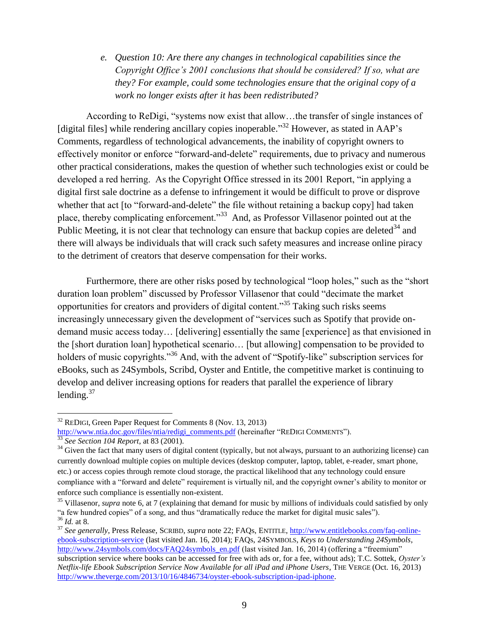*e. Question 10: Are there any changes in technological capabilities since the Copyright Office's 2001 conclusions that should be considered? If so, what are they? For example, could some technologies ensure that the original copy of a work no longer exists after it has been redistributed?*

According to ReDigi, "systems now exist that allow…the transfer of single instances of [digital files] while rendering ancillary copies inoperable."<sup>32</sup> However, as stated in AAP's Comments, regardless of technological advancements, the inability of copyright owners to effectively monitor or enforce "forward-and-delete" requirements, due to privacy and numerous other practical considerations, makes the question of whether such technologies exist or could be developed a red herring. As the Copyright Office stressed in its 2001 Report, "in applying a digital first sale doctrine as a defense to infringement it would be difficult to prove or disprove whether that act [to "forward-and-delete" the file without retaining a backup copy] had taken place, thereby complicating enforcement."<sup>33</sup> And, as Professor Villasenor pointed out at the Public Meeting, it is not clear that technology can ensure that backup copies are deleted<sup>34</sup> and there will always be individuals that will crack such safety measures and increase online piracy to the detriment of creators that deserve compensation for their works.

Furthermore, there are other risks posed by technological "loop holes," such as the "short duration loan problem" discussed by Professor Villasenor that could "decimate the market opportunities for creators and providers of digital content."<sup>35</sup> Taking such risks seems increasingly unnecessary given the development of "services such as Spotify that provide ondemand music access today… [delivering] essentially the same [experience] as that envisioned in the [short duration loan] hypothetical scenario… [but allowing] compensation to be provided to holders of music copyrights.<sup>36</sup> And, with the advent of "Spotify-like" subscription services for eBooks, such as 24Symbols, Scribd, Oyster and Entitle, the competitive market is continuing to develop and deliver increasing options for readers that parallel the experience of library lending. $37$ 

 $32$  REDIGI, Green Paper Request for Comments 8 (Nov. 13, 2013)

[http://www.ntia.doc.gov/files/ntia/redigi\\_comments.pdf](http://www.ntia.doc.gov/files/ntia/redigi_comments.pdf) (hereinafter "REDIGI COMMENTS").

<sup>33</sup> *See Section 104 Report*, at 83 (2001).

 $34$  Given the fact that many users of digital content (typically, but not always, pursuant to an authorizing license) can currently download multiple copies on multiple devices (desktop computer, laptop, tablet, e-reader, smart phone, etc.) or access copies through remote cloud storage, the practical likelihood that any technology could ensure compliance with a "forward and delete" requirement is virtually nil, and the copyright owner's ability to monitor or enforce such compliance is essentially non-existent.

<sup>&</sup>lt;sup>35</sup> Villasenor, *supra* note 6, at 7 (explaining that demand for music by millions of individuals could satisfied by only "a few hundred copies" of a song, and thus "dramatically reduce the market for digital music sales"). <sup>36</sup> *Id.* at 8.

<sup>37</sup> *See generally*, Press Release, SCRIBD, *supra* note 22; FAQs, ENTITLE, [http://www.entitlebooks.com/faq-online](http://www.entitlebooks.com/faq-online-ebook-subscription-service)[ebook-subscription-service](http://www.entitlebooks.com/faq-online-ebook-subscription-service) (last visited Jan. 16, 2014); FAQs, 24SYMBOLS, *Keys to Understanding 24Symbols*, [http://www.24symbols.com/docs/FAQ24symbols\\_en.pdf](http://www.24symbols.com/docs/FAQ24symbols_en.pdf) (last visited Jan. 16, 2014) (offering a "freemium" subscription service where books can be accessed for free with ads or, for a fee, without ads); T.C. Sottek, *Oyster's Netflix-life Ebook Subscription Service Now Available for all iPad and iPhone Users*, THE VERGE (Oct. 16, 2013) [http://www.theverge.com/2013/10/16/4846734/oyster-ebook-subscription-ipad-iphone.](http://www.theverge.com/2013/10/16/4846734/oyster-ebook-subscription-ipad-iphone)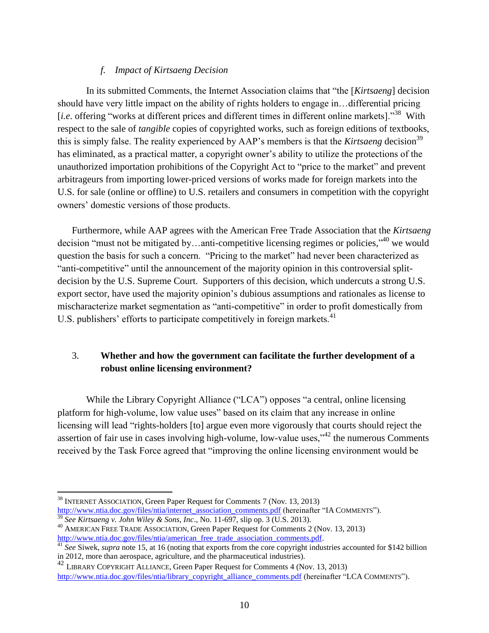# *f. Impact of Kirtsaeng Decision*

In its submitted Comments, the Internet Association claims that "the [*Kirtsaeng*] decision should have very little impact on the ability of rights holders to engage in…differential pricing [*i.e.* offering "works at different prices and different times in different online markets]."<sup>38</sup> With respect to the sale of *tangible* copies of copyrighted works, such as foreign editions of textbooks, this is simply false. The reality experienced by AAP's members is that the *Kirtsaeng* decision<sup>39</sup> has eliminated, as a practical matter, a copyright owner's ability to utilize the protections of the unauthorized importation prohibitions of the Copyright Act to "price to the market" and prevent arbitrageurs from importing lower-priced versions of works made for foreign markets into the U.S. for sale (online or offline) to U.S. retailers and consumers in competition with the copyright owners' domestic versions of those products.

Furthermore, while AAP agrees with the American Free Trade Association that the *Kirtsaeng* decision "must not be mitigated by...anti-competitive licensing regimes or policies," we would question the basis for such a concern. "Pricing to the market" had never been characterized as "anti-competitive" until the announcement of the majority opinion in this controversial splitdecision by the U.S. Supreme Court. Supporters of this decision, which undercuts a strong U.S. export sector, have used the majority opinion's dubious assumptions and rationales as license to mischaracterize market segmentation as "anti-competitive" in order to profit domestically from U.S. publishers' efforts to participate competitively in foreign markets.<sup>41</sup>

# 3. **Whether and how the government can facilitate the further development of a robust online licensing environment?**

While the Library Copyright Alliance ("LCA") opposes "a central, online licensing platform for high-volume, low value uses" based on its claim that any increase in online licensing will lead "rights-holders [to] argue even more vigorously that courts should reject the assertion of fair use in cases involving high-volume, low-value uses,"<sup>42</sup> the numerous Comments received by the Task Force agreed that "improving the online licensing environment would be

<sup>38</sup> INTERNET ASSOCIATION, Green Paper Request for Comments 7 (Nov. 13, 2013) [http://www.ntia.doc.gov/files/ntia/internet\\_association\\_comments.pdf](http://www.ntia.doc.gov/files/ntia/internet_association_comments.pdf) (hereinafter "IA COMMENTS").

<sup>39</sup> *See Kirtsaeng v. John Wiley & Sons, Inc*., No. 11-697, slip op. 3 (U.S. 2013).

<sup>&</sup>lt;sup>40</sup> AMERICAN FREE TRADE ASSOCIATION, Green Paper Request for Comments 2 (Nov. 13, 2013) [http://www.ntia.doc.gov/files/ntia/american\\_free\\_trade\\_association\\_comments.pdf.](http://www.ntia.doc.gov/files/ntia/american_free_trade_association_comments.pdf)

<sup>&</sup>lt;sup>41</sup> See Siwek, *supra* note 15, at 16 (noting that exports from the core copyright industries accounted for \$142 billion in 2012, more than aerospace, agriculture, and the pharmaceutical industries).

 $42$  LIBRARY COPYRIGHT ALLIANCE, Green Paper Request for Comments 4 (Nov. 13, 2013) [http://www.ntia.doc.gov/files/ntia/library\\_copyright\\_alliance\\_comments.pdf](http://www.ntia.doc.gov/files/ntia/library_copyright_alliance_comments.pdf) (hereinafter "LCA COMMENTS").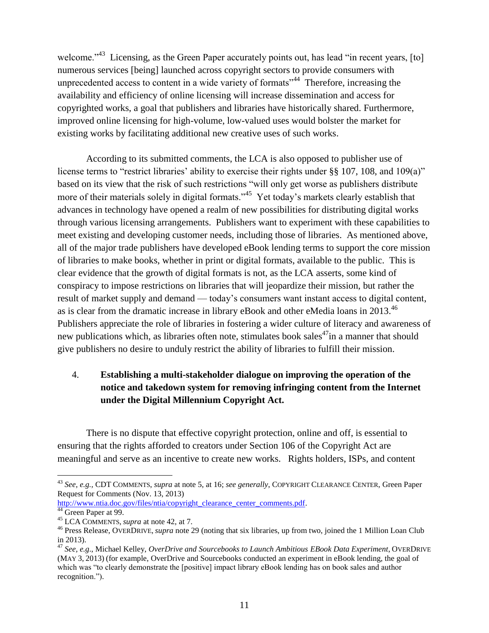welcome."<sup>43</sup> Licensing, as the Green Paper accurately points out, has lead "in recent years, [to] numerous services [being] launched across copyright sectors to provide consumers with unprecedented access to content in a wide variety of formats<sup>344</sup> Therefore, increasing the availability and efficiency of online licensing will increase dissemination and access for copyrighted works, a goal that publishers and libraries have historically shared. Furthermore, improved online licensing for high-volume, low-valued uses would bolster the market for existing works by facilitating additional new creative uses of such works.

According to its submitted comments, the LCA is also opposed to publisher use of license terms to "restrict libraries" ability to exercise their rights under §§ 107, 108, and 109(a)" based on its view that the risk of such restrictions "will only get worse as publishers distribute more of their materials solely in digital formats."<sup>45</sup> Yet today's markets clearly establish that advances in technology have opened a realm of new possibilities for distributing digital works through various licensing arrangements. Publishers want to experiment with these capabilities to meet existing and developing customer needs, including those of libraries. As mentioned above, all of the major trade publishers have developed eBook lending terms to support the core mission of libraries to make books, whether in print or digital formats, available to the public. This is clear evidence that the growth of digital formats is not, as the LCA asserts, some kind of conspiracy to impose restrictions on libraries that will jeopardize their mission, but rather the result of market supply and demand — today's consumers want instant access to digital content, as is clear from the dramatic increase in library eBook and other eMedia loans in 2013.<sup>46</sup> Publishers appreciate the role of libraries in fostering a wider culture of literacy and awareness of new publications which, as libraries often note, stimulates book sales<sup>47</sup>in a manner that should give publishers no desire to unduly restrict the ability of libraries to fulfill their mission.

# 4. **Establishing a multi-stakeholder dialogue on improving the operation of the notice and takedown system for removing infringing content from the Internet under the Digital Millennium Copyright Act.**

There is no dispute that effective copyright protection, online and off, is essential to ensuring that the rights afforded to creators under Section 106 of the Copyright Act are meaningful and serve as an incentive to create new works. Rights holders, ISPs, and content

<sup>43</sup> *See, e.g.,* CDT COMMENTS, *supra* at note 5, at 16; *see generally*, COPYRIGHT CLEARANCE CENTER, Green Paper Request for Comments (Nov. 13, 2013)

[http://www.ntia.doc.gov/files/ntia/copyright\\_clearance\\_center\\_comments.pdf.](http://www.ntia.doc.gov/files/ntia/copyright_clearance_center_comments.pdf) <sup>44</sup> Green Paper at 99.

<sup>45</sup> LCA COMMENTS, *supra* at note 42, at 7.

<sup>46</sup> Press Release, OVERDRIVE, *supra* note 29 (noting that six libraries, up from two, joined the 1 Million Loan Club in 2013).

<sup>47</sup> *See, e.g*., Michael Kelley, *OverDrive and Sourcebooks to Launch Ambitious EBook Data Experiment*, OVERDRIVE (MAY 3, 2013) (for example, OverDrive and Sourcebooks conducted an experiment in eBook lending, the goal of which was "to clearly demonstrate the [positive] impact library eBook lending has on book sales and author recognition.").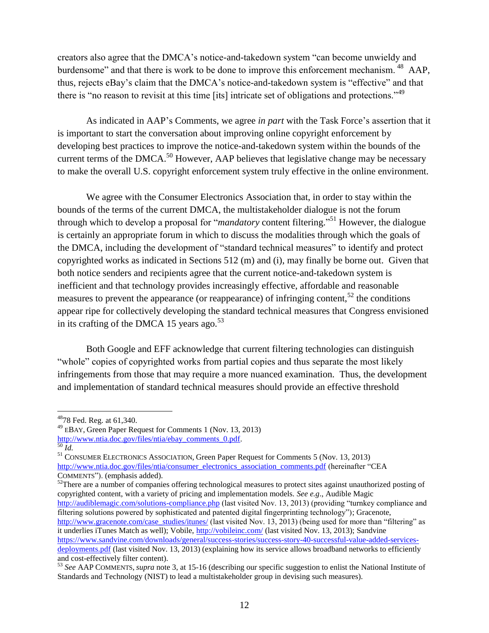creators also agree that the DMCA's notice-and-takedown system "can become unwieldy and burdensome" and that there is work to be done to improve this enforcement mechanism. <sup>48</sup> AAP, thus, rejects eBay's claim that the DMCA's notice-and-takedown system is "effective" and that there is "no reason to revisit at this time [its] intricate set of obligations and protections."<sup>49</sup>

As indicated in AAP's Comments, we agree *in part* with the Task Force's assertion that it is important to start the conversation about improving online copyright enforcement by developing best practices to improve the notice-and-takedown system within the bounds of the current terms of the DMCA.<sup>50</sup> However, AAP believes that legislative change may be necessary to make the overall U.S. copyright enforcement system truly effective in the online environment.

We agree with the Consumer Electronics Association that, in order to stay within the bounds of the terms of the current DMCA, the multistakeholder dialogue is not the forum through which to develop a proposal for "*mandatory* content filtering." <sup>51</sup> However, the dialogue is certainly an appropriate forum in which to discuss the modalities through which the goals of the DMCA, including the development of "standard technical measures" to identify and protect copyrighted works as indicated in Sections 512 (m) and (i), may finally be borne out. Given that both notice senders and recipients agree that the current notice-and-takedown system is inefficient and that technology provides increasingly effective, affordable and reasonable measures to prevent the appearance (or reappearance) of infringing content,<sup>52</sup> the conditions appear ripe for collectively developing the standard technical measures that Congress envisioned in its crafting of the DMCA 15 years ago. $53$ 

Both Google and EFF acknowledge that current filtering technologies can distinguish "whole" copies of copyrighted works from partial copies and thus separate the most likely infringements from those that may require a more nuanced examination. Thus, the development and implementation of standard technical measures should provide an effective threshold

 $\overline{a}$ 

<sup>52</sup>There are a number of companies offering technological measures to protect sites against unauthorized posting of copyrighted content, with a variety of pricing and implementation models. *See e.g*., Audible Magic <http://audiblemagic.com/solutions-compliance.php> (last visited Nov. 13, 2013) (providing "turnkey compliance and filtering solutions powered by sophisticated and patented digital fingerprinting technology"); Gracenote, [http://www.gracenote.com/case\\_studies/itunes/](http://www.gracenote.com/case_studies/itunes/) (last visited Nov. 13, 2013) (being used for more than "filtering" as it underlies iTunes Match as well); Vobile,<http://vobileinc.com/> (last visited Nov. 13, 2013); Sandvine [https://www.sandvine.com/downloads/general/success-stories/success-story-40-successful-value-added-services](https://www.sandvine.com/downloads/general/success-stories/success-story-40-successful-value-added-services-deployments.pdf)[deployments.pdf](https://www.sandvine.com/downloads/general/success-stories/success-story-40-successful-value-added-services-deployments.pdf) (last visited Nov. 13, 2013) (explaining how its service allows broadband networks to efficiently and cost-effectively filter content).

<sup>48</sup>78 Fed. Reg. at 61,340.

<sup>49</sup> <sup>E</sup>BAY, Green Paper Request for Comments 1 (Nov. 13, 2013) [http://www.ntia.doc.gov/files/ntia/ebay\\_comments\\_0.pdf.](http://www.ntia.doc.gov/files/ntia/ebay_comments_0.pdf) <sup>50</sup> *Id.*

<sup>51</sup> CONSUMER ELECTRONICS ASSOCIATION, Green Paper Request for Comments 5 (Nov. 13, 2013) [http://www.ntia.doc.gov/files/ntia/consumer\\_electronics\\_association\\_comments.pdf](http://www.ntia.doc.gov/files/ntia/consumer_electronics_association_comments.pdf) (hereinafter "CEA COMMENTS"). (emphasis added).

<sup>53</sup> *See* AAP COMMENTS, *supra* note 3, at 15-16 (describing our specific suggestion to enlist the National Institute of Standards and Technology (NIST) to lead a multistakeholder group in devising such measures).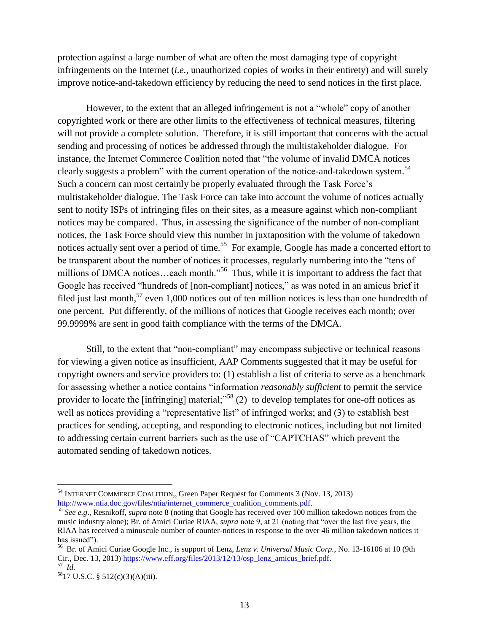protection against a large number of what are often the most damaging type of copyright infringements on the Internet (*i.e.,* unauthorized copies of works in their entirety) and will surely improve notice-and-takedown efficiency by reducing the need to send notices in the first place.

However, to the extent that an alleged infringement is not a "whole" copy of another copyrighted work or there are other limits to the effectiveness of technical measures, filtering will not provide a complete solution. Therefore, it is still important that concerns with the actual sending and processing of notices be addressed through the multistakeholder dialogue. For instance, the Internet Commerce Coalition noted that "the volume of invalid DMCA notices clearly suggests a problem" with the current operation of the notice-and-takedown system.<sup>54</sup> Such a concern can most certainly be properly evaluated through the Task Force's multistakeholder dialogue. The Task Force can take into account the volume of notices actually sent to notify ISPs of infringing files on their sites, as a measure against which non-compliant notices may be compared. Thus, in assessing the significance of the number of non-compliant notices, the Task Force should view this number in juxtaposition with the volume of takedown notices actually sent over a period of time.<sup>55</sup> For example, Google has made a concerted effort to be transparent about the number of notices it processes, regularly numbering into the "tens of millions of DMCA notices...each month."<sup>56</sup> Thus, while it is important to address the fact that Google has received "hundreds of [non-compliant] notices," as was noted in an amicus brief it filed just last month,  $57$  even 1,000 notices out of ten million notices is less than one hundredth of one percent. Put differently, of the millions of notices that Google receives each month; over 99.9999% are sent in good faith compliance with the terms of the DMCA.

Still, to the extent that "non-compliant" may encompass subjective or technical reasons for viewing a given notice as insufficient, AAP Comments suggested that it may be useful for copyright owners and service providers to: (1) establish a list of criteria to serve as a benchmark for assessing whether a notice contains "information *reasonably sufficient* to permit the service provider to locate the [infringing] material;<sup> $58$ </sup> (2) to develop templates for one-off notices as well as notices providing a "representative list" of infringed works; and (3) to establish best practices for sending, accepting, and responding to electronic notices, including but not limited to addressing certain current barriers such as the use of "CAPTCHAS" which prevent the automated sending of takedown notices.

<sup>&</sup>lt;sup>54</sup> INTERNET COMMERCE COALITION., Green Paper Request for Comments 3 (Nov. 13, 2013) [http://www.ntia.doc.gov/files/ntia/internet\\_commerce\\_coalition\\_comments.pdf.](http://www.ntia.doc.gov/files/ntia/internet_commerce_coalition_comments.pdf)

<sup>55</sup> *See e.g*., Resnikoff, *supra* note 8 (noting that Google has received over 100 million takedown notices from the music industry alone); Br. of Amici Curiae RIAA, *supra* note 9, at 21 (noting that "over the last five years, the RIAA has received a minuscule number of counter-notices in response to the over 46 million takedown notices it has issued").

<sup>56</sup> Br. of Amici Curiae Google Inc., is support of Lenz, *Lenz v. Universal Music Corp.*, No. 13-16106 at 10 (9th Cir., Dec. 13, 2013) [https://www.eff.org/files/2013/12/13/osp\\_lenz\\_amicus\\_brief.pdf.](https://www.eff.org/files/2013/12/13/osp_lenz_amicus_brief.pdf) 57 *Id.*

<sup>58</sup>17 U.S.C. § 512(c)(3)(A)(iii).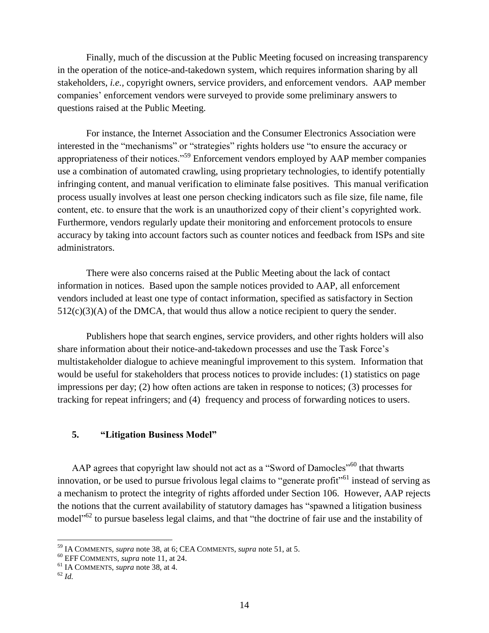Finally, much of the discussion at the Public Meeting focused on increasing transparency in the operation of the notice-and-takedown system, which requires information sharing by all stakeholders, *i.e.,* copyright owners, service providers, and enforcement vendors. AAP member companies' enforcement vendors were surveyed to provide some preliminary answers to questions raised at the Public Meeting.

For instance, the Internet Association and the Consumer Electronics Association were interested in the "mechanisms" or "strategies" rights holders use "to ensure the accuracy or appropriateness of their notices."<sup>59</sup> Enforcement vendors employed by AAP member companies use a combination of automated crawling, using proprietary technologies, to identify potentially infringing content, and manual verification to eliminate false positives. This manual verification process usually involves at least one person checking indicators such as file size, file name, file content, etc. to ensure that the work is an unauthorized copy of their client's copyrighted work. Furthermore, vendors regularly update their monitoring and enforcement protocols to ensure accuracy by taking into account factors such as counter notices and feedback from ISPs and site administrators.

There were also concerns raised at the Public Meeting about the lack of contact information in notices. Based upon the sample notices provided to AAP, all enforcement vendors included at least one type of contact information, specified as satisfactory in Section  $512(c)(3)(A)$  of the DMCA, that would thus allow a notice recipient to query the sender.

Publishers hope that search engines, service providers, and other rights holders will also share information about their notice-and-takedown processes and use the Task Force's multistakeholder dialogue to achieve meaningful improvement to this system. Information that would be useful for stakeholders that process notices to provide includes: (1) statistics on page impressions per day; (2) how often actions are taken in response to notices; (3) processes for tracking for repeat infringers; and (4) frequency and process of forwarding notices to users.

## **5. "Litigation Business Model"**

AAP agrees that copyright law should not act as a "Sword of Damocles"<sup>60</sup> that thwarts innovation, or be used to pursue frivolous legal claims to "generate profit"<sup>61</sup> instead of serving as a mechanism to protect the integrity of rights afforded under Section 106. However, AAP rejects the notions that the current availability of statutory damages has "spawned a litigation business model<sup>"62</sup> to pursue baseless legal claims, and that "the doctrine of fair use and the instability of

<sup>59</sup> IA COMMENTS, *supra* note 38, at 6; CEA COMMENTS, *supra* note 51, at 5.

<sup>60</sup> EFF COMMENTS, *supra* note 11, at 24.

<sup>61</sup> IA COMMENTS, *supra* note 38, at 4.

<sup>62</sup> *Id.*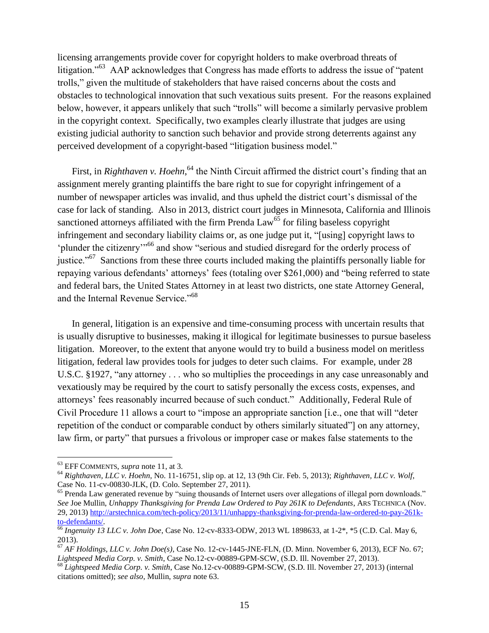licensing arrangements provide cover for copyright holders to make overbroad threats of litigation."<sup>63</sup> AAP acknowledges that Congress has made efforts to address the issue of "patent trolls," given the multitude of stakeholders that have raised concerns about the costs and obstacles to technological innovation that such vexatious suits present. For the reasons explained below, however, it appears unlikely that such "trolls" will become a similarly pervasive problem in the copyright context. Specifically, two examples clearly illustrate that judges are using existing judicial authority to sanction such behavior and provide strong deterrents against any perceived development of a copyright-based "litigation business model."

First, in *Righthaven v. Hoehn*, <sup>64</sup> the Ninth Circuit affirmed the district court's finding that an assignment merely granting plaintiffs the bare right to sue for copyright infringement of a number of newspaper articles was invalid, and thus upheld the district court's dismissal of the case for lack of standing. Also in 2013, district court judges in Minnesota, California and Illinois sanctioned attorneys affiliated with the firm Prenda  $Law<sup>65</sup>$  for filing baseless copyright infringement and secondary liability claims or, as one judge put it, "[using] copyright laws to 'plunder the citizenry'"<sup>66</sup> and show "serious and studied disregard for the orderly process of justice."<sup>67</sup> Sanctions from these three courts included making the plaintiffs personally liable for repaying various defendants' attorneys' fees (totaling over \$261,000) and "being referred to state and federal bars, the United States Attorney in at least two districts, one state Attorney General, and the Internal Revenue Service."<sup>68</sup>

In general, litigation is an expensive and time-consuming process with uncertain results that is usually disruptive to businesses, making it illogical for legitimate businesses to pursue baseless litigation. Moreover, to the extent that anyone would try to build a business model on meritless litigation, federal law provides tools for judges to deter such claims. For example, under 28 U.S.C. §1927, "any attorney . . . who so multiplies the proceedings in any case unreasonably and vexatiously may be required by the court to satisfy personally the excess costs, expenses, and attorneys' fees reasonably incurred because of such conduct." Additionally, Federal Rule of Civil Procedure 11 allows a court to "impose an appropriate sanction [i.e., one that will "deter repetition of the conduct or comparable conduct by others similarly situated"] on any attorney, law firm, or party" that pursues a frivolous or improper case or makes false statements to the

<sup>63</sup> EFF COMMENTS, *supra* note 11, at 3.

<sup>64</sup> *Righthaven, LLC v. Hoehn,* No. 11-16751, slip op. at 12, 13 (9th Cir. Feb. 5, 2013); *Righthaven, LLC v. Wolf*, Case No. 11-cv-00830-JLK, (D. Colo. September 27, 2011).

<sup>&</sup>lt;sup>65</sup> Prenda Law generated revenue by "suing thousands of Internet users over allegations of illegal porn downloads." *See* Joe Mullin, *Unhappy Thanksgiving for Prenda Law Ordered to Pay 261K to Defendants*, ARS TECHNICA (Nov. 29, 2013) [http://arstechnica.com/tech-policy/2013/11/unhappy-thanksgiving-for-prenda-law-ordered-to-pay-261k](http://arstechnica.com/tech-policy/2013/11/unhappy-thanksgiving-for-prenda-law-ordered-to-pay-261k-to-defendants/)[to-defendants/.](http://arstechnica.com/tech-policy/2013/11/unhappy-thanksgiving-for-prenda-law-ordered-to-pay-261k-to-defendants/)

<sup>66</sup> *Ingenuity 13 LLC v. John Doe*, Case No. 12-cv-8333-ODW, 2013 WL 1898633, at 1-2\*, \*5 (C.D. Cal. May 6, 2013).

<sup>67</sup> *AF Holdings, LLC v. John Doe(s)*, Case No. 12-cv-1445-JNE-FLN, (D. Minn. November 6, 2013), ECF No. 67; *Lightspeed Media Corp. v. Smith*, Case No.12-cv-00889-GPM-SCW, (S.D. Ill. November 27, 2013).

<sup>68</sup> *Lightspeed Media Corp. v. Smith*, Case No.12-cv-00889-GPM-SCW, (S.D. Ill. November 27, 2013) (internal citations omitted); *see also*, Mullin, *supra* note 63.